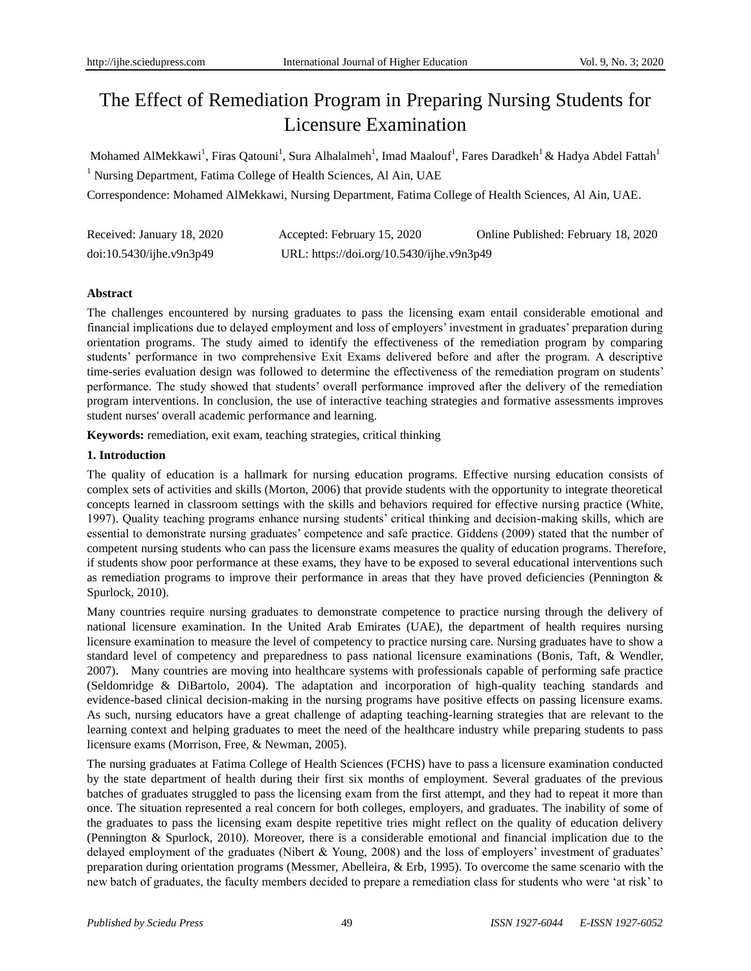# The Effect of Remediation Program in Preparing Nursing Students for Licensure Examination

Mohamed AlMekkawi<sup>1</sup>, Firas Qatouni<sup>1</sup>, Sura Alhalalmeh<sup>1</sup>, Imad Maalouf<sup>1</sup>, Fares Daradkeh<sup>1</sup> & Hadya Abdel Fattah<sup>1</sup> <sup>1</sup> Nursing Department, Fatima College of Health Sciences, Al Ain, UAE

Correspondence: Mohamed AlMekkawi, Nursing Department, Fatima College of Health Sciences, Al Ain, UAE.

| Received: January 18, 2020 | Accepted: February 15, 2020               | Online Published: February 18, 2020 |
|----------------------------|-------------------------------------------|-------------------------------------|
| doi:10.5430/ijhe.v9n3p49   | URL: https://doi.org/10.5430/ijhe.v9n3p49 |                                     |

# **Abstract**

The challenges encountered by nursing graduates to pass the licensing exam entail considerable emotional and financial implications due to delayed employment and loss of employers' investment in graduates' preparation during orientation programs. The study aimed to identify the effectiveness of the remediation program by comparing students' performance in two comprehensive Exit Exams delivered before and after the program. A descriptive time-series evaluation design was followed to determine the effectiveness of the remediation program on students' performance. The study showed that students' overall performance improved after the delivery of the remediation program interventions. In conclusion, the use of interactive teaching strategies and formative assessments improves student nurses' overall academic performance and learning.

**Keywords:** remediation, exit exam, teaching strategies, critical thinking

# **1. Introduction**

The quality of education is a hallmark for nursing education programs. Effective nursing education consists of complex sets of activities and skills (Morton, 2006) that provide students with the opportunity to integrate theoretical concepts learned in classroom settings with the skills and behaviors required for effective nursing practice (White, 1997). Quality teaching programs enhance nursing students' critical thinking and decision-making skills, which are essential to demonstrate nursing graduates' competence and safe practice. Giddens (2009) stated that the number of competent nursing students who can pass the licensure exams measures the quality of education programs. Therefore, if students show poor performance at these exams, they have to be exposed to several educational interventions such as remediation programs to improve their performance in areas that they have proved deficiencies (Pennington  $\&$ Spurlock, 2010).

Many countries require nursing graduates to demonstrate competence to practice nursing through the delivery of national licensure examination. In the United Arab Emirates (UAE), the department of health requires nursing licensure examination to measure the level of competency to practice nursing care. Nursing graduates have to show a standard level of competency and preparedness to pass national licensure examinations (Bonis, Taft, & Wendler, 2007). Many countries are moving into healthcare systems with professionals capable of performing safe practice (Seldomridge & DiBartolo, 2004). The adaptation and incorporation of high-quality teaching standards and evidence-based clinical decision-making in the nursing programs have positive effects on passing licensure exams. As such, nursing educators have a great challenge of adapting teaching-learning strategies that are relevant to the learning context and helping graduates to meet the need of the healthcare industry while preparing students to pass licensure exams (Morrison, Free, & Newman, 2005).

The nursing graduates at Fatima College of Health Sciences (FCHS) have to pass a licensure examination conducted by the state department of health during their first six months of employment. Several graduates of the previous batches of graduates struggled to pass the licensing exam from the first attempt, and they had to repeat it more than once. The situation represented a real concern for both colleges, employers, and graduates. The inability of some of the graduates to pass the licensing exam despite repetitive tries might reflect on the quality of education delivery (Pennington & Spurlock, 2010). Moreover, there is a considerable emotional and financial implication due to the delayed employment of the graduates (Nibert & Young, 2008) and the loss of employers' investment of graduates' preparation during orientation programs (Messmer, Abelleira, & Erb, 1995). To overcome the same scenario with the new batch of graduates, the faculty members decided to prepare a remediation class for students who were 'at risk' to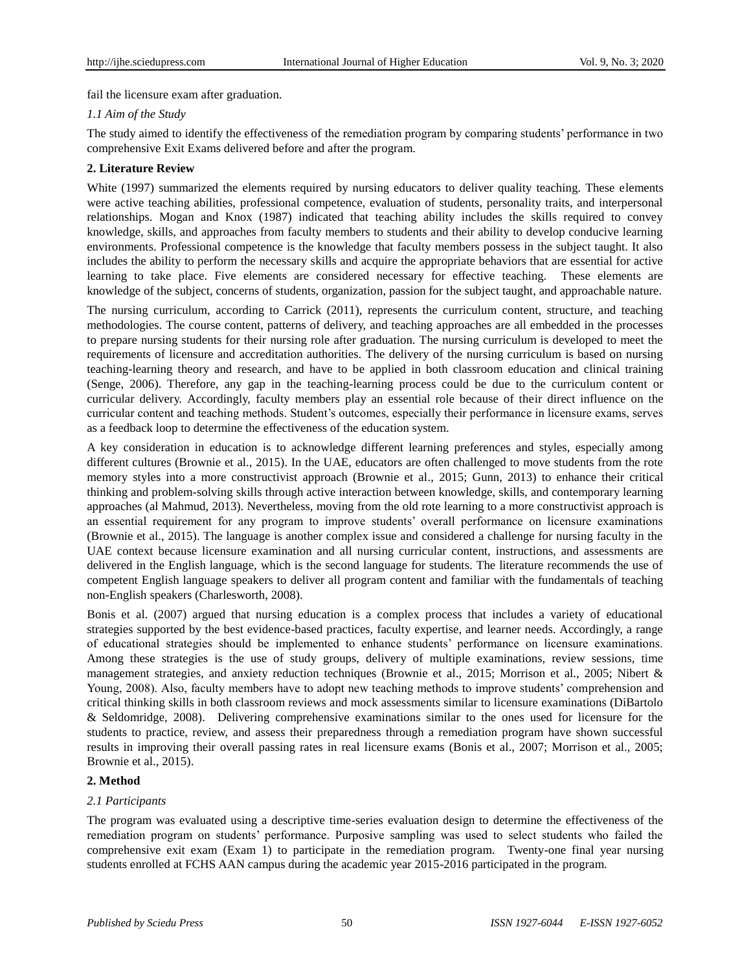fail the licensure exam after graduation.

# *1.1 Aim of the Study*

The study aimed to identify the effectiveness of the remediation program by comparing students' performance in two comprehensive Exit Exams delivered before and after the program.

# **2. Literature Review**

White (1997) summarized the elements required by nursing educators to deliver quality teaching. These elements were active teaching abilities, professional competence, evaluation of students, personality traits, and interpersonal relationships. Mogan and Knox (1987) indicated that teaching ability includes the skills required to convey knowledge, skills, and approaches from faculty members to students and their ability to develop conducive learning environments. Professional competence is the knowledge that faculty members possess in the subject taught. It also includes the ability to perform the necessary skills and acquire the appropriate behaviors that are essential for active learning to take place. Five elements are considered necessary for effective teaching. These elements are knowledge of the subject, concerns of students, organization, passion for the subject taught, and approachable nature.

The nursing curriculum, according to Carrick (2011), represents the curriculum content, structure, and teaching methodologies. The course content, patterns of delivery, and teaching approaches are all embedded in the processes to prepare nursing students for their nursing role after graduation. The nursing curriculum is developed to meet the requirements of licensure and accreditation authorities. The delivery of the nursing curriculum is based on nursing teaching-learning theory and research, and have to be applied in both classroom education and clinical training (Senge, 2006). Therefore, any gap in the teaching-learning process could be due to the curriculum content or curricular delivery. Accordingly, faculty members play an essential role because of their direct influence on the curricular content and teaching methods. Student's outcomes, especially their performance in licensure exams, serves as a feedback loop to determine the effectiveness of the education system.

A key consideration in education is to acknowledge different learning preferences and styles, especially among different cultures (Brownie et al., 2015). In the UAE, educators are often challenged to move students from the rote memory styles into a more constructivist approach (Brownie et al., 2015; Gunn, 2013) to enhance their critical thinking and problem-solving skills through active interaction between knowledge, skills, and contemporary learning approaches (al Mahmud, 2013). Nevertheless, moving from the old rote learning to a more constructivist approach is an essential requirement for any program to improve students' overall performance on licensure examinations (Brownie et al., 2015). The language is another complex issue and considered a challenge for nursing faculty in the UAE context because licensure examination and all nursing curricular content, instructions, and assessments are delivered in the English language, which is the second language for students. The literature recommends the use of competent English language speakers to deliver all program content and familiar with the fundamentals of teaching non-English speakers (Charlesworth, 2008).

Bonis et al. (2007) argued that nursing education is a complex process that includes a variety of educational strategies supported by the best evidence-based practices, faculty expertise, and learner needs. Accordingly, a range of educational strategies should be implemented to enhance students' performance on licensure examinations. Among these strategies is the use of study groups, delivery of multiple examinations, review sessions, time management strategies, and anxiety reduction techniques (Brownie et al., 2015; Morrison et al., 2005; Nibert & Young, 2008). Also, faculty members have to adopt new teaching methods to improve students' comprehension and critical thinking skills in both classroom reviews and mock assessments similar to licensure examinations (DiBartolo & Seldomridge, 2008). Delivering comprehensive examinations similar to the ones used for licensure for the students to practice, review, and assess their preparedness through a remediation program have shown successful results in improving their overall passing rates in real licensure exams (Bonis et al., 2007; Morrison et al., 2005; Brownie et al., 2015).

# **2. Method**

# *2.1 Participants*

The program was evaluated using a descriptive time-series evaluation design to determine the effectiveness of the remediation program on students' performance. Purposive sampling was used to select students who failed the comprehensive exit exam (Exam 1) to participate in the remediation program. Twenty-one final year nursing students enrolled at FCHS AAN campus during the academic year 2015-2016 participated in the program.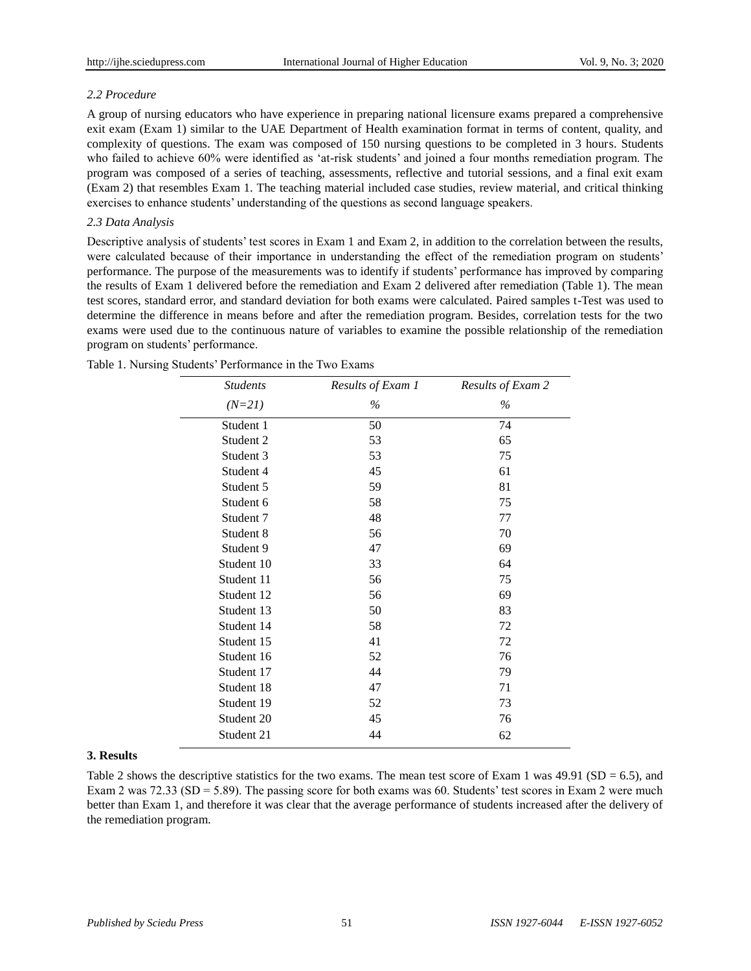# *2.2 Procedure*

A group of nursing educators who have experience in preparing national licensure exams prepared a comprehensive exit exam (Exam 1) similar to the UAE Department of Health examination format in terms of content, quality, and complexity of questions. The exam was composed of 150 nursing questions to be completed in 3 hours. Students who failed to achieve 60% were identified as 'at-risk students' and joined a four months remediation program. The program was composed of a series of teaching, assessments, reflective and tutorial sessions, and a final exit exam (Exam 2) that resembles Exam 1. The teaching material included case studies, review material, and critical thinking exercises to enhance students' understanding of the questions as second language speakers.

# *2.3 Data Analysis*

Descriptive analysis of students' test scores in Exam 1 and Exam 2, in addition to the correlation between the results, were calculated because of their importance in understanding the effect of the remediation program on students' performance. The purpose of the measurements was to identify if students' performance has improved by comparing the results of Exam 1 delivered before the remediation and Exam 2 delivered after remediation (Table 1). The mean test scores, standard error, and standard deviation for both exams were calculated. Paired samples t-Test was used to determine the difference in means before and after the remediation program. Besides, correlation tests for the two exams were used due to the continuous nature of variables to examine the possible relationship of the remediation program on students' performance.

| <b>Students</b> | Results of Exam 1 | Results of Exam 2 |
|-----------------|-------------------|-------------------|
| $(N=21)$        | $\%$              | $\%$              |
| Student 1       | 50                | 74                |
| Student 2       | 53                | 65                |
| Student 3       | 53                | 75                |
| Student 4       | 45                | 61                |
| Student 5       | 59                | 81                |
| Student 6       | 58                | 75                |
| Student 7       | 48                | 77                |
| Student 8       | 56                | 70                |
| Student 9       | 47                | 69                |
| Student 10      | 33                | 64                |
| Student 11      | 56                | 75                |
| Student 12      | 56                | 69                |
| Student 13      | 50                | 83                |
| Student 14      | 58                | 72                |
| Student 15      | 41                | 72                |
| Student 16      | 52                | 76                |
| Student 17      | 44                | 79                |
| Student 18      | 47                | 71                |
| Student 19      | 52                | 73                |
| Student 20      | 45                | 76                |
| Student 21      | 44                | 62                |

Table 1. Nursing Students' Performance in the Two Exams

# **3. Results**

Table 2 shows the descriptive statistics for the two exams. The mean test score of Exam 1 was  $49.91$  (SD = 6.5), and Exam 2 was 72.33 (SD = 5.89). The passing score for both exams was 60. Students' test scores in Exam 2 were much better than Exam 1, and therefore it was clear that the average performance of students increased after the delivery of the remediation program.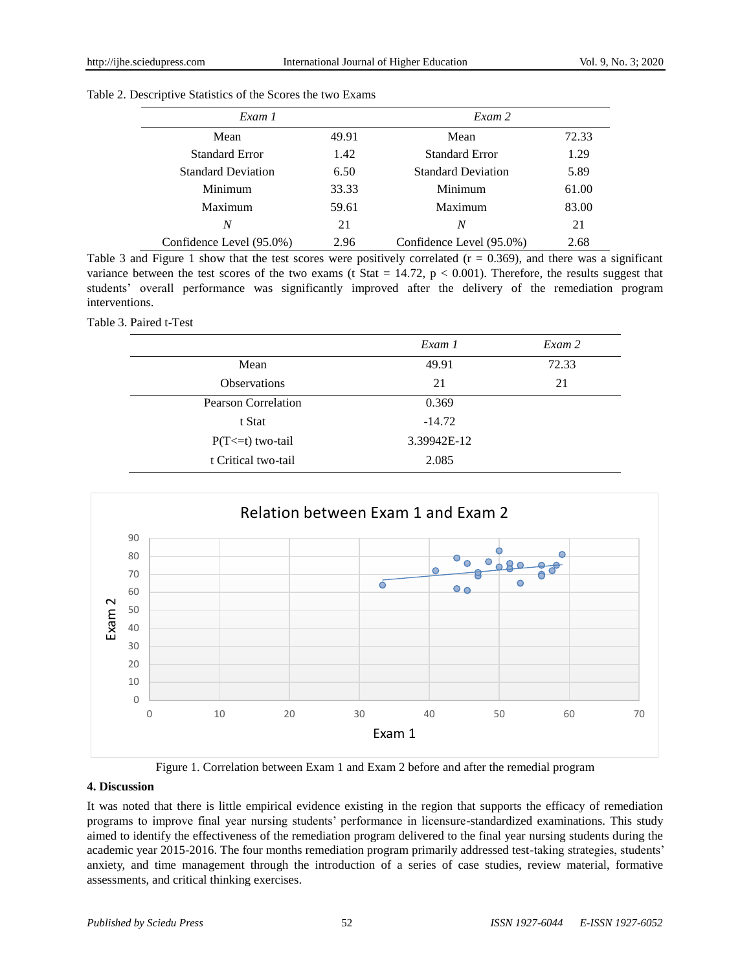| Table 2. Descriptive Statistics of the Scores the two Exams |  |
|-------------------------------------------------------------|--|
|-------------------------------------------------------------|--|

| Exam 1                    |       | Exam 2                    |       |
|---------------------------|-------|---------------------------|-------|
| Mean                      | 49.91 | Mean                      | 72.33 |
| <b>Standard Error</b>     | 1.42  | <b>Standard Error</b>     | 1.29  |
| <b>Standard Deviation</b> | 6.50  | <b>Standard Deviation</b> | 5.89  |
| Minimum                   | 33.33 | Minimum                   | 61.00 |
| Maximum                   | 59.61 | Maximum                   | 83.00 |
| N                         | 21    | N                         | 21    |
| Confidence Level (95.0%)  | 2.96  | Confidence Level (95.0%)  | 2.68  |

Table 3 and Figure 1 show that the test scores were positively correlated  $(r = 0.369)$ , and there was a significant variance between the test scores of the two exams (t Stat  $= 14.72$ ,  $p < 0.001$ ). Therefore, the results suggest that students' overall performance was significantly improved after the delivery of the remediation program interventions.

Table 3. Paired t-Test

|                            | Exam 1      | Exam 2 |
|----------------------------|-------------|--------|
| Mean                       | 49.91       | 72.33  |
| <b>Observations</b>        | 21          | 21     |
| <b>Pearson Correlation</b> | 0.369       |        |
| t Stat                     | $-14.72$    |        |
| $P(T \le t)$ two-tail      | 3.39942E-12 |        |
| t Critical two-tail        | 2.085       |        |



Figure 1. Correlation between Exam 1 and Exam 2 before and after the remedial program

# **4. Discussion**

It was noted that there is little empirical evidence existing in the region that supports the efficacy of remediation programs to improve final year nursing students' performance in licensure-standardized examinations. This study aimed to identify the effectiveness of the remediation program delivered to the final year nursing students during the academic year 2015-2016. The four months remediation program primarily addressed test-taking strategies, students' anxiety, and time management through the introduction of a series of case studies, review material, formative assessments, and critical thinking exercises.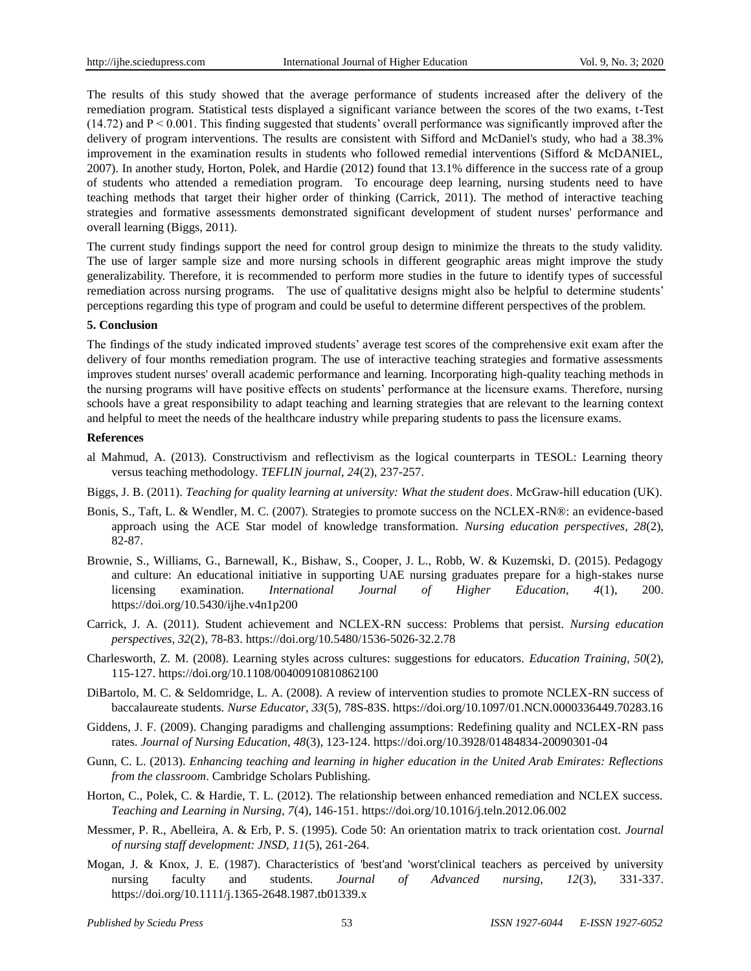The results of this study showed that the average performance of students increased after the delivery of the remediation program. Statistical tests displayed a significant variance between the scores of the two exams, t-Test  $(14.72)$  and  $P \le 0.001$ . This finding suggested that students' overall performance was significantly improved after the delivery of program interventions. The results are consistent with Sifford and McDaniel's study, who had a 38.3% improvement in the examination results in students who followed remedial interventions (Sifford & McDANIEL, 2007). In another study, Horton, Polek, and Hardie (2012) found that 13.1% difference in the success rate of a group of students who attended a remediation program. To encourage deep learning, nursing students need to have teaching methods that target their higher order of thinking (Carrick, 2011). The method of interactive teaching strategies and formative assessments demonstrated significant development of student nurses' performance and overall learning (Biggs, 2011).

The current study findings support the need for control group design to minimize the threats to the study validity. The use of larger sample size and more nursing schools in different geographic areas might improve the study generalizability. Therefore, it is recommended to perform more studies in the future to identify types of successful remediation across nursing programs. The use of qualitative designs might also be helpful to determine students' perceptions regarding this type of program and could be useful to determine different perspectives of the problem.

#### **5. Conclusion**

The findings of the study indicated improved students' average test scores of the comprehensive exit exam after the delivery of four months remediation program. The use of interactive teaching strategies and formative assessments improves student nurses' overall academic performance and learning. Incorporating high-quality teaching methods in the nursing programs will have positive effects on students' performance at the licensure exams. Therefore, nursing schools have a great responsibility to adapt teaching and learning strategies that are relevant to the learning context and helpful to meet the needs of the healthcare industry while preparing students to pass the licensure exams.

#### **References**

- al Mahmud, A. (2013). Constructivism and reflectivism as the logical counterparts in TESOL: Learning theory versus teaching methodology. *TEFLIN journal, 24*(2), 237-257.
- Biggs, J. B. (2011). *Teaching for quality learning at university: What the student does*. McGraw-hill education (UK).
- Bonis, S., Taft, L. & Wendler, M. C. (2007). Strategies to promote success on the NCLEX-RN®: an evidence-based approach using the ACE Star model of knowledge transformation. *Nursing education perspectives, 28*(2), 82-87.
- Brownie, S., Williams, G., Barnewall, K., Bishaw, S., Cooper, J. L., Robb, W. & Kuzemski, D. (2015). Pedagogy and culture: An educational initiative in supporting UAE nursing graduates prepare for a high-stakes nurse licensing examination. *International Journal of Higher Education, 4*(1), 200. <https://doi.org/10.5430/ijhe.v4n1p200>
- Carrick, J. A. (2011). Student achievement and NCLEX-RN success: Problems that persist. *Nursing education perspectives, 32*(2), 78-83[. https://doi.org/10.5480/1536-5026-32.2.78](https://doi.org/10.5480/1536-5026-32.2.78)
- Charlesworth, Z. M. (2008). Learning styles across cultures: suggestions for educators. *Education Training, 50*(2), 115-127.<https://doi.org/10.1108/00400910810862100>
- DiBartolo, M. C. & Seldomridge, L. A. (2008). A review of intervention studies to promote NCLEX-RN success of baccalaureate students. *Nurse Educator, 33*(5), 78S-83S.<https://doi.org/10.1097/01.NCN.0000336449.70283.16>
- Giddens, J. F. (2009). Changing paradigms and challenging assumptions: Redefining quality and NCLEX-RN pass rates. *Journal of Nursing Education, 48*(3), 123-124[. https://doi.org/10.3928/01484834-20090301-04](https://doi.org/10.3928/01484834-20090301-04)
- Gunn, C. L. (2013). *Enhancing teaching and learning in higher education in the United Arab Emirates: Reflections from the classroom*. Cambridge Scholars Publishing.
- Horton, C., Polek, C. & Hardie, T. L. (2012). The relationship between enhanced remediation and NCLEX success. *Teaching and Learning in Nursing, 7*(4), 146-151.<https://doi.org/10.1016/j.teln.2012.06.002>
- Messmer, P. R., Abelleira, A. & Erb, P. S. (1995). Code 50: An orientation matrix to track orientation cost. *Journal of nursing staff development: JNSD, 11*(5), 261-264.
- Mogan, J. & Knox, J. E. (1987). Characteristics of 'best'and 'worst'clinical teachers as perceived by university nursing faculty and students. *Journal of Advanced nursing, 12*(3), 331-337. <https://doi.org/10.1111/j.1365-2648.1987.tb01339.x>